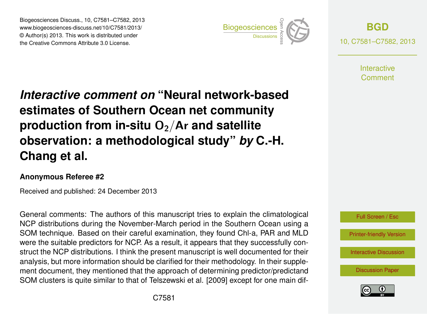Biogeosciences Discuss., 10, C7581–C7582, 2013 www.biogeosciences-discuss.net/10/C7581/2013/ www.biogeosciences-ulscuss.net/10/C7561/2013/<br>© Author(s) 2013. This work is distributed under the Creative Commons Attribute 3.0 License.



**[BGD](http://www.biogeosciences-discuss.net)** 10, C7581–C7582, 2013

> **Interactive** Comment

## Earth System estimates of Southern Ocean net community  $\sum_{i=1}^{\infty}$  $\overline{a}$ *Interactive comment on* **"Neural network-based** production from in-situ O<sub>2</sub>/Ar and satellite geolation. Instrumentation  $\overline{\phantom{a}}$  $F \circ F$ Instrumentation **observation: a methodological study"** *by* **C.-H.**  $\overline{\phantom{a}}$ **Chang et al.**

## **Anonymous Referee #2**

Geoscientific Received and published: 24 December 2013 3

defiered comments. The additions of this manuscript thes to explain the climatological<br>NCP distributions during the November-March period in the Southern Ocean using a Not distributions during the November March period in the Southern Ocean daily a<br>SOM technique. Based on their careful examination, they found Chl-a, PAR and MLD sh cardia charmianon, moy found on a, river )<br>Open ແຫ<br>ງ<br>ຂໍ້າ were the suitable predictors for NCP. As a result, it appears that they successfully conand, set there include the column of the approach of determining predictor/predictand ment document, they mentioned that the approach of determining predictor/predictand open<br>Open<br>Access ^<br>C<br>C analysis, but more information should be clarified for their methodology. In their supple-General comments: The authors of this manuscript tries to explain the climatological struct the NCP distributions. I think the present manuscript is well documented for their SOM clusters is quite similar to that of Telszewski et al. [2009] except for one main dif-